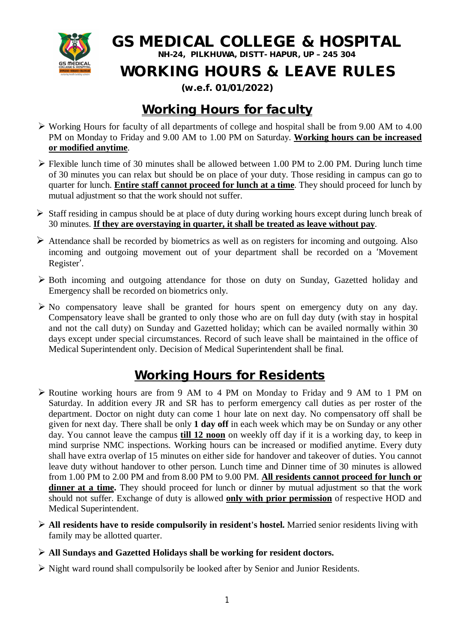

**GS MEDICAL COLLEGE & HOSPITAL**

**NH-24, PILKHUWA, DISTT- HAPUR, UP – 245 304**

## **WORKING HOURS & LEAVE RULES**

#### **(w.e.f. 01/01/2022)**

### **Working Hours for faculty**

- Working Hours for faculty of all departments of college and hospital shall be from 9.00 AM to 4.00 PM on Monday to Friday and 9.00 AM to 1.00 PM on Saturday. **Working hours can be increased or modified anytime**.
- $\triangleright$  Flexible lunch time of 30 minutes shall be allowed between 1.00 PM to 2.00 PM. During lunch time of 30 minutes you can relax but should be on place of your duty. Those residing in campus can go to quarter for lunch. **Entire staff cannot proceed for lunch at a time**. They should proceed for lunch by mutual adjustment so that the work should not suffer.
- $\triangleright$  Staff residing in campus should be at place of duty during working hours except during lunch break of 30 minutes. **If they are overstaying in quarter, it shall be treated as leave without pay**.
- $\triangleright$  Attendance shall be recorded by biometrics as well as on registers for incoming and outgoing. Also incoming and outgoing movement out of your department shall be recorded on a 'Movement Register'.
- $\triangleright$  Both incoming and outgoing attendance for those on duty on Sunday, Gazetted holiday and Emergency shall be recorded on biometrics only.
- $\triangleright$  No compensatory leave shall be granted for hours spent on emergency duty on any day. Compensatory leave shall be granted to only those who are on full day duty (with stay in hospital and not the call duty) on Sunday and Gazetted holiday; which can be availed normally within 30 days except under special circumstances. Record of such leave shall be maintained in the office of Medical Superintendent only. Decision of Medical Superintendent shall be final.

#### **Working Hours for Residents**

- Routine working hours are from 9 AM to 4 PM on Monday to Friday and 9 AM to 1 PM on Saturday. In addition every JR and SR has to perform emergency call duties as per roster of the department. Doctor on night duty can come 1 hour late on next day. No compensatory off shall be given for next day. There shall be only **1 day off** in each week which may be on Sunday or any other day. You cannot leave the campus **till 12 noon** on weekly off day if it is a working day, to keep in mind surprise NMC inspections. Working hours can be increased or modified anytime. Every duty shall have extra overlap of 15 minutes on either side for handover and takeover of duties. You cannot leave duty without handover to other person. Lunch time and Dinner time of 30 minutes is allowed from 1.00 PM to 2.00 PM and from 8.00 PM to 9.00 PM. **All residents cannot proceed for lunch or**  dinner at a time. They should proceed for lunch or dinner by mutual adjustment so that the work should not suffer. Exchange of duty is allowed **only with prior permission** of respective HOD and Medical Superintendent.
- **All residents have to reside compulsorily in resident's hostel.** Married senior residents living with family may be allotted quarter.
- **All Sundays and Gazetted Holidays shall be working for resident doctors.**
- $\triangleright$  Night ward round shall compulsorily be looked after by Senior and Junior Residents.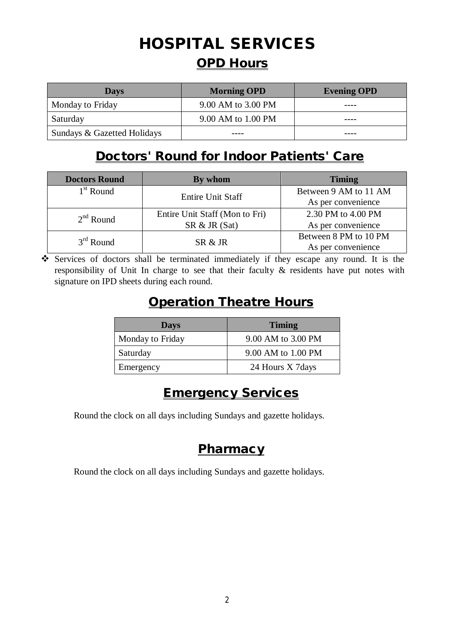# **HOSPITAL SERVICES OPD Hours**

| <b>Days</b>                 | <b>Morning OPD</b> | <b>Evening OPD</b> |
|-----------------------------|--------------------|--------------------|
| Monday to Friday            | 9.00 AM to 3.00 PM |                    |
| Saturday                    | 9.00 AM to 1.00 PM |                    |
| Sundays & Gazetted Holidays |                    |                    |

#### **Doctors' Round for Indoor Patients' Care**

| <b>Doctors Round</b> | By whom                        | <b>Timing</b>         |  |
|----------------------|--------------------------------|-----------------------|--|
| $1st$ Round          | <b>Entire Unit Staff</b>       | Between 9 AM to 11 AM |  |
|                      |                                | As per convenience    |  |
| $2nd$ Round          | Entire Unit Staff (Mon to Fri) | 2.30 PM to 4.00 PM    |  |
|                      | SR & JR (Sat)                  | As per convenience    |  |
| $3rd$ Round          | SR & R                         | Between 8 PM to 10 PM |  |
|                      |                                | As per convenience    |  |

 Services of doctors shall be terminated immediately if they escape any round. It is the responsibility of Unit In charge to see that their faculty & residents have put notes with signature on IPD sheets during each round.

### **Operation Theatre Hours**

| <b>Days</b>      | <b>Timing</b>      |
|------------------|--------------------|
| Monday to Friday | 9.00 AM to 3.00 PM |
| Saturday         | 9.00 AM to 1.00 PM |
| Emergency        | 24 Hours X 7days   |

#### **Emergency Services**

Round the clock on all days including Sundays and gazette holidays.

#### **Pharmacy**

Round the clock on all days including Sundays and gazette holidays.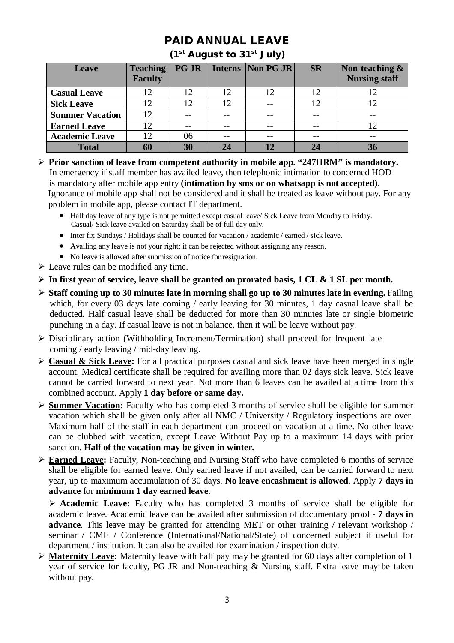#### **PAID ANNUAL LEAVE**

#### **(1st August to 31st July)**

| Leave                  | <b>Teaching</b><br><b>Faculty</b> | <b>PG JR</b>    | Interns   Non PG JR | <b>SR</b> | Non-teaching &<br><b>Nursing staff</b> |
|------------------------|-----------------------------------|-----------------|---------------------|-----------|----------------------------------------|
| <b>Casual Leave</b>    | 12                                | 12              | 12                  |           |                                        |
| <b>Sick Leave</b>      | 12                                | 12 <sub>1</sub> |                     | 12        |                                        |
| <b>Summer Vacation</b> | 12                                | --              | --                  |           | --                                     |
| <b>Earned Leave</b>    |                                   |                 | --                  |           |                                        |
| <b>Academic Leave</b>  | 12                                | 06              | --                  |           |                                        |
| <b>Total</b>           | 60                                | 30              | 12                  |           |                                        |

- **Prior sanction of leave from competent authority in mobile app. "247HRM" is mandatory.** In emergency if staff member has availed leave, then telephonic intimation to concerned HOD is mandatory after mobile app entry **(intimation by sms or on whatsapp is not accepted)**. Ignorance of mobile app shall not be considered and it shall be treated as leave without pay. For any problem in mobile app, please contact IT department.
	- Half day leave of any type is not permitted except casual leave/ Sick Leave from Monday to Friday. Casual/ Sick leave availed on Saturday shall be of full day only.
	- Inter fix Sundays / Holidays shall be counted for vacation / academic / earned / sick leave.
	- Availing any leave is not your right; it can be rejected without assigning any reason.
	- No leave is allowed after submission of notice for resignation.
- $\triangleright$  Leave rules can be modified any time.
- **In first year of service, leave shall be granted on prorated basis, 1 CL & 1 SL per month.**
- **Staff coming up to 30 minutes late in morning shall go up to 30 minutes late in evening.** Failing which, for every 03 days late coming / early leaving for 30 minutes, 1 day casual leave shall be deducted. Half casual leave shall be deducted for more than 30 minutes late or single biometric punching in a day. If casual leave is not in balance, then it will be leave without pay.
- Disciplinary action (Withholding Increment/Termination) shall proceed for frequent late coming / early leaving / mid-day leaving.
- **Casual & Sick Leave:** For all practical purposes casual and sick leave have been merged in single account. Medical certificate shall be required for availing more than 02 days sick leave. Sick leave cannot be carried forward to next year. Not more than 6 leaves can be availed at a time from this combined account. Apply **1 day before or same day.**
- **Summer Vacation:** Faculty who has completed 3 months of service shall be eligible for summer vacation which shall be given only after all NMC / University / Regulatory inspections are over. Maximum half of the staff in each department can proceed on vacation at a time. No other leave can be clubbed with vacation, except Leave Without Pay up to a maximum 14 days with prior sanction. **Half of the vacation may be given in winter.**
- **Earned Leave:** Faculty, Non-teaching and Nursing Staff who have completed 6 months of service shall be eligible for earned leave. Only earned leave if not availed, can be carried forward to next year, up to maximum accumulation of 30 days. **No leave encashment is allowed**. Apply **7 days in advance** for **minimum 1 day earned leave**.

 **Academic Leave:** Faculty who has completed 3 months of service shall be eligible for academic leave. Academic leave can be availed after submission of documentary proof - **7 days in advance**. This leave may be granted for attending MET or other training / relevant workshop / seminar / CME / Conference (International/National/State) of concerned subject if useful for department / institution. It can also be availed for examination / inspection duty.

 **Maternity Leave:** Maternity leave with half pay may be granted for 60 days after completion of 1 year of service for faculty, PG JR and Non-teaching & Nursing staff. Extra leave may be taken without pay.